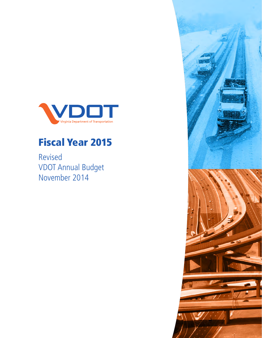

# Fiscal Year 2015

Revised VDOT Annual Budget November 2014

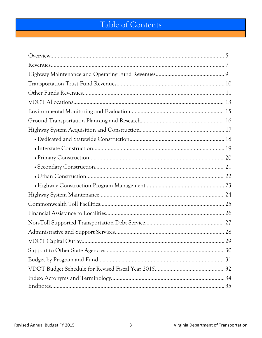## Table of Contents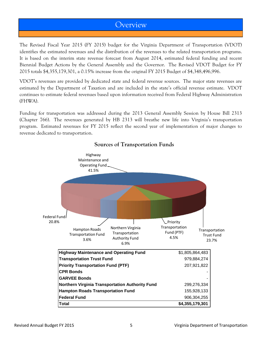#### Overview

The Revised Fiscal Year 2015 (FY 2015) budget for the Virginia Department of Transportation (VDOT) identifies the estimated revenues and the distribution of the revenues to the related transportation programs. It is based on the interim state revenue forecast from August 2014, estimated federal funding and recent Biennial Budget Actions by the General Assembly and the Governor. The Revised VDOT Budget for FY 2015 totals \$4,355,179,301, a 0.15% increase from the original FY 2015 Budget of \$4,348,496,996.

VDOT's revenues are provided by dedicated state and federal revenue sources. The major state revenues are estimated by the Department of Taxation and are included in the state's official revenue estimate. VDOT continues to estimate federal revenues based upon information received from Federal Highway Administration (FHWA).

Funding for transportation was addressed during the 2013 General Assembly Session by House Bill 2313 (Chapter 766). The revenues generated by HB 2313 will breathe new life into Virginia's transportation program. Estimated revenues for FY 2015 reflect the second year of implementation of major changes to revenue dedicated to transportation.



#### **Sources of Transportation Funds**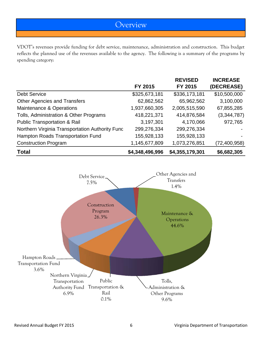### **Overview**

VDOT's revenues provide funding for debt service, maintenance, administration and construction. This budget reflects the planned use of the revenues available to the agency. The following is a summary of the programs by spending category:

|                                                 |                 | <b>REVISED</b>  | <b>INCREASE</b> |
|-------------------------------------------------|-----------------|-----------------|-----------------|
|                                                 | FY 2015         | FY 2015         | (DECREASE)      |
| <b>Debt Service</b>                             | \$325,673,181   | \$336,173,181   | \$10,500,000    |
| <b>Other Agencies and Transfers</b>             | 62,862,562      | 65,962,562      | 3,100,000       |
| Maintenance & Operations                        | 1,937,660,305   | 2,005,515,590   | 67,855,285      |
| Tolls, Administration & Other Programs          | 418,221,371     | 414,876,584     | (3,344,787)     |
| <b>Public Transportation &amp; Rail</b>         | 3,197,301       | 4,170,066       | 972,765         |
| Northern Virginia Transportation Authority Func | 299,276,334     | 299,276,334     |                 |
| Hampton Roads Transportation Fund               | 155,928,133     | 155,928,133     |                 |
| <b>Construction Program</b>                     | 1,145,677,809   | 1,073,276,851   | (72, 400, 958)  |
| <b>Total</b>                                    | \$4,348,496,996 | \$4,355,179,301 | \$6,682,305     |

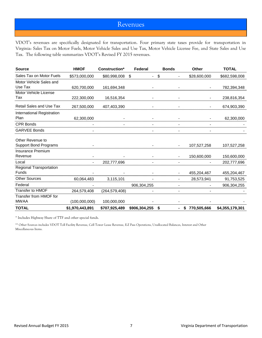#### Revenues

VDOT's revenues are specifically designated for transportation. Four primary state taxes provide for transportation in Virginia: Sales Tax on Motor Fuels, Motor Vehicle Sales and Use Tax, Motor Vehicle License Fee, and State Sales and Use Tax. The following table summarizes VDOT's Revised FY 2015 revenues.

| <b>Source</b>                   | <b>HMOF</b>     | Construction*             | Federal              | <b>Bonds</b> | <b>Other</b>    | <b>TOTAL</b>    |
|---------------------------------|-----------------|---------------------------|----------------------|--------------|-----------------|-----------------|
| Sales Tax on Motor Fuels        | \$573,000,000   | \$80,998,008              | \$<br>$\blacksquare$ | \$           | \$28,600,000    | \$682,598,008   |
| Motor Vehicle Sales and         |                 |                           |                      |              |                 |                 |
| Use Tax                         | 620,700,000     | 161,694,348               |                      |              |                 | 782,394,348     |
| Motor Vehicle License           |                 |                           |                      |              |                 |                 |
| Tax                             | 222,300,000     | 16,516,354                |                      |              |                 | 238,816,354     |
| <b>Retail Sales and Use Tax</b> | 267,500,000     | 407,403,390               |                      |              |                 | 674,903,390     |
| International Registration      |                 |                           |                      |              |                 |                 |
| Plan                            | 62,300,000      |                           |                      |              |                 | 62,300,000      |
| <b>CPR Bonds</b>                |                 |                           |                      |              |                 |                 |
| <b>GARVEE Bonds</b>             |                 |                           |                      |              |                 |                 |
| Other Revenue to                |                 |                           |                      |              |                 |                 |
| Support Bond Programs           |                 |                           |                      |              | 107,527,258     | 107,527,258     |
| Insurance Premium               |                 |                           |                      |              |                 |                 |
| Revenue                         |                 |                           |                      |              | 150,600,000     | 150,600,000     |
| Local                           |                 | 202,777,696               |                      |              |                 | 202,777,696     |
| <b>Regional Transportation</b>  |                 |                           |                      |              |                 |                 |
| Funds                           |                 |                           |                      |              | 455,204,467     | 455,204,467     |
| <b>Other Sources</b>            |                 |                           |                      |              |                 |                 |
| Federal                         |                 |                           | 906,304,255          |              |                 | 906,304,255     |
| Transfer to HMOF                |                 | 264,579,408 (264,579,408) |                      |              |                 |                 |
| Transfer from HMOF for          |                 |                           |                      |              |                 |                 |
| <b>MWAA</b>                     | (100,000,000)   | 100,000,000               |                      |              |                 |                 |
| <b>TOTAL</b>                    | \$1,970,443,891 | \$707,925,489             | $$906,304,255$ \$    |              | - \$770,505,666 | \$4,355,179,301 |

\* Includes Highway Share of TTF and other special funds.

\*\* Other Sources includes VDOT Toll Facility Revenue, Cell Tower Lease Revenue, E-Z Pass Operations, Unallocated Balances, Interest and Other Miscellaneous Items.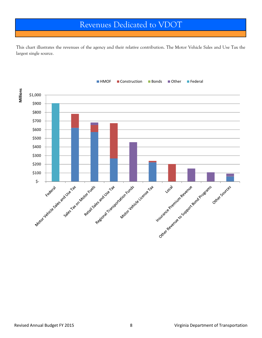### Revenues Dedicated to VDOT

This chart illustrates the revenues of the agency and their relative contribution. The Motor Vehicle Sales and Use Tax the largest single source.

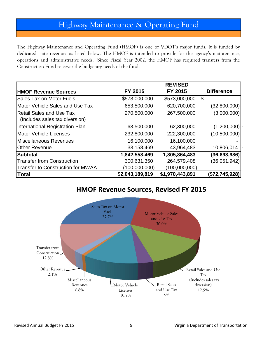## Highway Maintenance & Operating Fund

The Highway Maintenance and Operating Fund (HMOF) is one of VDOT's major funds. It is funded by dedicated state revenues as listed below. The HMOF is intended to provide for the agency's maintenance, operations and administrative needs. Since Fiscal Year 2002, the HMOF has required transfers from the Construction Fund to cover the budgetary needs of the fund.

|                                                            |                 | <b>REVISED</b>  |                   |
|------------------------------------------------------------|-----------------|-----------------|-------------------|
| <b>HMOF Revenue Sources</b>                                | FY 2015         | FY 2015         | <b>Difference</b> |
| <b>Sales Tax on Motor Fuels</b>                            | \$573,000,000   | \$573,000,000   | \$                |
| Motor Vehicle Sales and Use Tax                            | 653,500,000     | 620,700,000     | (32,800,000)      |
| Retail Sales and Use Tax<br>(Includes sales tax diversion) | 270,500,000     | 267,500,000     | (3,000,000)       |
| International Registration Plan                            | 63,500,000      | 62,300,000      | (1,200,000)       |
| <b>IMotor Vehicle Licenses</b>                             | 232,800,000     | 222,300,000     | (10,500,000)      |
| Miscellaneous Revenues                                     | 16,100,000      | 16,100,000      |                   |
| <b>Other Revenue</b>                                       | 33,158,469      | 43,964,483      | 10,806,014        |
| <b>Subtotal</b>                                            | 1,842,558,469   | 1,805,864,483   | (36,693,986)      |
| <b>Transfer from Construction</b>                          | 300,631,350     | 264,579,408     | (36,051,942)      |
| Transfer to Construction for MWAA                          | (100,000,000)   | (100,000,000)   |                   |
| Total                                                      | \$2,043,189,819 | \$1,970,443,891 | (\$72,745,928)    |

#### **HMOF Revenue Sources, Revised FY 2015**

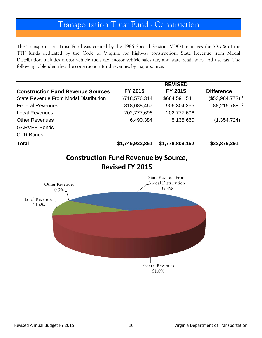### Transportation Trust Fund - Construction

The Transportation Trust Fund was created by the 1986 Special Session. VDOT manages the 78.7% of the TTF funds dedicated by the Code of Virginia for highway construction. State Revenue from Modal Distribution includes motor vehicle fuels tax, motor vehicle sales tax, and state retail sales and use tax. The following table identifies the construction fund revenues by major source.

|                                          |                 | <b>REVISED</b>  |                   |
|------------------------------------------|-----------------|-----------------|-------------------|
| <b>Construction Fund Revenue Sources</b> | FY 2015         | FY 2015         | <b>Difference</b> |
| State Revenue From Modal Distribution    | \$718,576,314   | \$664,591,541   | (\$53,984,773)    |
| <b>Federal Revenues</b>                  | 818,088,467     | 906,304,255     | 88,215,788        |
| Local Revenues                           | 202,777,696     | 202,777,696     |                   |
| <b>Other Revenues</b>                    | 6,490,384       | 5,135,660       | (1, 354, 724)     |
| <b>GARVEE Bonds</b>                      |                 |                 |                   |
| <b>CPR Bonds</b>                         |                 |                 |                   |
| Total                                    | \$1,745,932,861 | \$1,778,809,152 | \$32,876,291      |



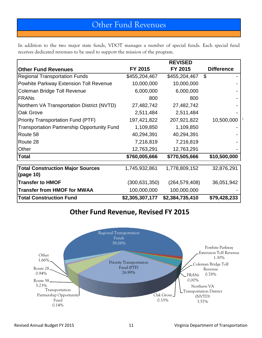## Other Fund Revenues

In addition to the two major state funds, VDOT manages a number of special funds. Each special fund receives dedicated revenues to be used to support the mission of the program.

|                                                    |                 | <b>REVISED</b>  |                   |
|----------------------------------------------------|-----------------|-----------------|-------------------|
| <b>Other Fund Revenues</b>                         | FY 2015         | FY 2015         | <b>Difference</b> |
| <b>Regional Transportation Funds</b>               | \$455,204,467   | \$455,204,467   | $\mathfrak{L}$    |
| Powhite Parkway Extension Toll Revenue             | 10,000,000      | 10,000,000      |                   |
| Coleman Bridge Toll Revenue                        | 6,000,000       | 6,000,000       |                   |
| <b>FRANS</b>                                       | 800             | 800             |                   |
| Northern VA Transportation District (NVTD)         | 27,482,742      | 27,482,742      |                   |
| Oak Grove                                          | 2,511,484       | 2,511,484       |                   |
| <b>Priority Transportation Fund (PTF)</b>          | 197,421,822     | 207,921,822     | 10,500,000        |
| <b>Transportation Partnership Opportunity Fund</b> | 1,109,850       | 1,109,850       |                   |
| Route 58                                           | 40,294,391      | 40,294,391      |                   |
| Route 28                                           | 7,216,819       | 7,216,819       |                   |
| Other                                              | 12,763,291      | 12,763,291      |                   |
| <b>Total</b>                                       | \$760,005,666   | \$770,505,666   | \$10,500,000      |
| <b>Total Construction Major Sources</b>            | 1,745,932,861   | 1,778,809,152   | 32,876,291        |
| (page 10)                                          |                 |                 |                   |
| <b>Transfer to HMOF</b>                            | (300, 631, 350) | (264, 579, 408) | 36,051,942        |
| <b>Transfer from HMOF for MWAA</b>                 | 100,000,000     | 100,000,000     |                   |
| <b>Total Construction Fund</b>                     | \$2,305,307,177 | \$2,384,735,410 | \$79,428,233      |

### **Other Fund Revenue, Revised FY 2015**

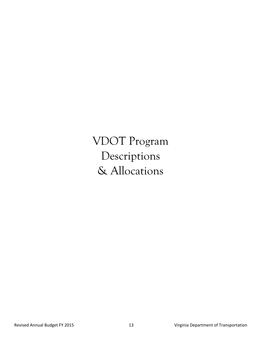VDOT Program Descriptions & Allocations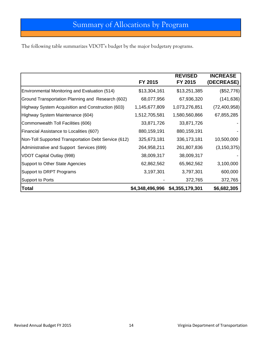The following table summarizes VDOT's budget by the major budgetary programs.

|                                                      | FY 2015         | <b>REVISED</b><br>FY 2015 | <b>INCREASE</b><br>(DECREASE) |
|------------------------------------------------------|-----------------|---------------------------|-------------------------------|
| Environmental Monitoring and Evaluation (514)        | \$13,304,161    | \$13,251,385              | (\$52,776)                    |
| Ground Transportation Planning and Research (602)    | 68,077,956      | 67,936,320                | (141, 636)                    |
| Highway System Acquisition and Construction (603)    | 1,145,677,809   | 1,073,276,851             | (72, 400, 958)                |
| Highway System Maintenance (604)                     | 1,512,705,581   | 1,580,560,866             | 67,855,285                    |
| Commonwealth Toll Facilities (606)                   | 33,871,726      | 33,871,726                |                               |
| <b>Financial Assistance to Localities (607)</b>      | 880,159,191     | 880, 159, 191             |                               |
| Non-Toll Supported Transportation Debt Service (612) | 325,673,181     | 336, 173, 181             | 10,500,000                    |
| Administrative and Support Services (699)            | 264,958,211     | 261,807,836               | (3, 150, 375)                 |
| <b>VDOT Capital Outlay (998)</b>                     | 38,009,317      | 38,009,317                |                               |
| Support to Other State Agencies                      | 62,862,562      | 65,962,562                | 3,100,000                     |
| Support to DRPT Programs                             | 3,197,301       | 3,797,301                 | 600,000                       |
| <b>Support to Ports</b>                              |                 | 372,765                   | 372,765                       |
| <b>Total</b>                                         | \$4,348,496,996 | \$4,355,179,301           | \$6,682,305                   |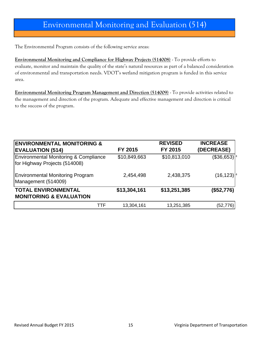## Environmental Monitoring and Evaluation (514)

The Environmental Program consists of the following service areas:

**Environmental Monitoring and Compliance for Highway Projects (514008)** - To provide efforts to evaluate, monitor and maintain the quality of the state's natural resources as part of a balanced consideration of environmental and transportation needs. VDOT's wetland mitigation program is funded in this service area.

**Environmental Monitoring Program Management and Direction (514009)** - To provide activities related to the management and direction of the program. Adequate and effective management and direction is critical to the success of the program.

| <b>ENVIRONMENTAL MONITORING &amp;</b>                                             |              | <b>REVISED</b> | <b>INCREASE</b>   |
|-----------------------------------------------------------------------------------|--------------|----------------|-------------------|
| <b>EVALUATION (514)</b>                                                           | FY 2015      | FY 2015        | (DECREASE)        |
| <b>Environmental Monitoring &amp; Compliance</b><br>for Highway Projects (514008) | \$10,849,663 | \$10,813,010   | $($ \$36,653) $ $ |
| <b>Environmental Monitoring Program</b><br>Management (514009)                    | 2,454,498    | 2,438,375      | (16, 123)         |
| <b>TOTAL ENVIRONMENTAL</b><br><b>MONITORING &amp; EVALUATION</b>                  | \$13,304,161 | \$13,251,385   | (\$52,776)        |
| TTF                                                                               | 13,304,161   | 13,251,385     | (52, 776)         |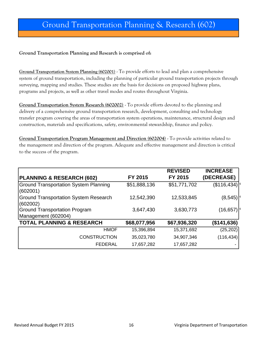## Ground Transportation Planning & Research (602)

#### **Ground Transportation Planning and Research is comprised of:**

**Ground Transportation System Planning (602001)** - To provide efforts to lead and plan a comprehensive system of ground transportation, including the planning of particular ground transportation projects through surveying, mapping and studies. These studies are the basis for decisions on proposed highway plans, programs and projects, as well as other travel modes and routes throughout Virginia.

**Ground Transportation System Research (602002)** - To provide efforts devoted to the planning and delivery of a comprehensive ground transportation research, development, consulting and technology transfer program covering the areas of transportation system operations, maintenance, structural design and construction, materials and specifications, safety, environmental stewardship, finance and policy.

**Ground Transportation Program Management and Direction (602004)** - To provide activities related to the management and direction of the program. Adequate and effective management and direction is critical to the success of the program.

|                                                          |              | <b>REVISED</b> | <b>INCREASE</b> |
|----------------------------------------------------------|--------------|----------------|-----------------|
| <b>PLANNING &amp; RESEARCH (602)</b>                     | FY 2015      | <b>FY 2015</b> | (DECREASE)      |
| <b>Ground Transportation System Planning</b><br>(602001) | \$51,888,136 | \$51,771,702   | (\$116,434)     |
| <b>Ground Transportation System Research</b><br>(602002) | 12,542,390   | 12,533,845     | (8, 545)        |
| <b>Ground Transportation Program</b>                     | 3,647,430    | 3,630,773      | (16, 657)       |
| Management (602004)                                      |              |                |                 |
| <b>TOTAL PLANNING &amp; RESEARCH</b>                     | \$68,077,956 | \$67,936,320   | (\$141,636)     |
| <b>HMOF</b>                                              | 15,396,894   | 15,371,692     | (25, 202)       |
| <b>CONSTRUCTION</b>                                      | 35,023,780   | 34,907,346     | (116, 434)      |
| <b>FEDERAL</b>                                           | 17,657,282   | 17,657,282     |                 |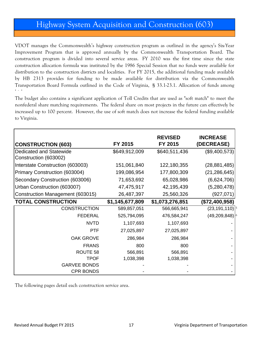### Highway System Acquisition and Construction (603)

VDOT manages the Commonwealth's highway construction program as outlined in the agency's Six-Year Improvement Program that is approved annually by the Commonwealth Transportation Board. The construction program is divided into several service areas. FY 2010 was the first time since the state construction allocation formula was instituted by the 1986 Special Session that no funds were available for distribution to the construction districts and localities. For FY 2015, the additional funding made available by HB 2313 provides for funding to be made available for distribution via the Commonwealth Transportation Board Formula outlined in the Code of Virginia, § 33.1-23.1. Allocation of funds among hi h

The budget also contains a significant application of Toll Credits that are used as "soft match" to meet the nonfederal share matching requirements. The federal share on most projects in the future can effectively be increased up to 100 percent. However, the use of soft match does not increase the federal funding available to Virginia.

|                                  |                 | <b>REVISED</b>  | <b>INCREASE</b>      |
|----------------------------------|-----------------|-----------------|----------------------|
| <b>CONSTRUCTION (603)</b>        | FY 2015         | FY 2015         | (DECREASE)           |
| Dedicated and Statewide          | \$649,912,009   | \$640,511,436   | (\$9,400,573)        |
| Construction (603002)            |                 |                 |                      |
| Interstate Construction (603003) | 151,061,840     | 122,180,355     | (28, 881, 485)       |
| Primary Construction (603004)    | 199,086,954     | 177,800,309     | (21, 286, 645)       |
| Secondary Construction (603006)  | 71,653,692      | 65,028,986      | (6,624,706)          |
| Urban Construction (603007)      | 47,475,917      | 42,195,439      | (5,280,478)          |
| Construction Management (603015) | 26,487,397      | 25,560,326      | (927, 071)           |
| <b>TOTAL CONSTRUCTION</b>        | \$1,145,677,809 | \$1,073,276,851 | (\$72,400,958)       |
| <b>CONSTRUCTION</b>              | 589,857,051     | 566,665,941     | $(23, 191, 110)^{5}$ |
| <b>FEDERAL</b>                   | 525,794,095     | 476,584,247     | (49, 209, 848)       |
| <b>NVTD</b>                      | 1,107,693       | 1,107,693       |                      |
| <b>PTF</b>                       | 27,025,897      | 27,025,897      |                      |
| <b>OAK GROVE</b>                 | 286,984         | 286,984         |                      |
| <b>FRANS</b>                     | 800             | 800             |                      |
| ROUTE 58                         | 566,891         | 566,891         |                      |
| TPOF                             | 1,038,398       | 1,038,398       |                      |
| <b>GARVEE BONDS</b>              |                 |                 |                      |
| <b>CPR BONDS</b>                 |                 |                 |                      |

The following pages detail each construction service area.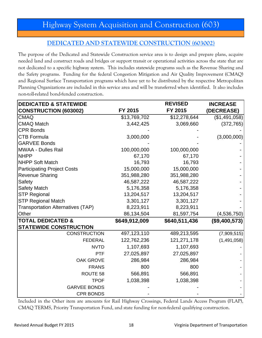#### **DEDICATED AND STATEWIDE CONSTRUCTION (603002)**

The purpose of the Dedicated and Statewide Construction service area is to design and prepare plans, acquire needed land and construct roads and bridges or support transit or operational activities across the state that are not dedicated to a specific highway system. This includes statewide programs such as the Revenue Sharing and the Safety programs. Funding for the federal Congestion Mitigation and Air Quality Improvement (CMAQ) and Regional Surface Transportation programs which have yet to be distributed by the respective Metropolitan Planning Organizations are included in this service area and will be transferred when identified. It also includes non-toll-related bond-funded construction.

| <b>DEDICATED &amp; STATEWIDE</b>         |               | <b>REVISED</b> | <b>INCREASE</b> |
|------------------------------------------|---------------|----------------|-----------------|
| <b>CONSTRUCTION (603002)</b>             | FY 2015       | FY 2015        | (DECREASE)      |
| <b>CMAQ</b>                              | \$13,769,702  | \$12,278,644   | (\$1,491,058)   |
| <b>CMAQ Match</b>                        | 3,442,425     | 3,069,660      | (372, 765)      |
| <b>CPR Bonds</b>                         |               |                |                 |
| <b>CTB Formula</b>                       | 3,000,000     |                | (3,000,000)     |
| <b>GARVEE Bonds</b>                      |               |                |                 |
| MWAA - Dulles Rail                       | 100,000,000   | 100,000,000    |                 |
| <b>NHPP</b>                              | 67,170        | 67,170         |                 |
| NHPP Soft Match                          | 16,793        | 16,793         |                 |
| <b>Participating Project Costs</b>       | 15,000,000    | 15,000,000     |                 |
| <b>Revenue Sharing</b>                   | 351,988,280   | 351,988,280    |                 |
| Safety                                   | 46,587,222    | 46,587,222     |                 |
| <b>Safety Match</b>                      | 5,176,358     | 5,176,358      |                 |
| <b>STP Regional</b>                      | 13,204,517    | 13,204,517     |                 |
| <b>STP Regional Match</b>                | 3,301,127     | 3,301,127      |                 |
| <b>Transportation Alternatives (TAP)</b> | 8,223,911     | 8,223,911      |                 |
| Other                                    | 86,134,504    | 81,597,754     | (4,536,750)     |
| <b>TOTAL DEDICATED &amp;</b>             | \$649,912,009 | \$640,511,436  | (\$9,400,573)   |
| <b>STATEWIDE CONSTRUCTION</b>            |               |                |                 |
| <b>CONSTRUCTION</b>                      | 497,123,110   | 489,213,595    | (7,909,515)     |
| <b>FEDERAL</b>                           | 122,762,236   | 121,271,178    | (1,491,058)     |
| <b>NVTD</b>                              | 1,107,693     | 1,107,693      |                 |
| <b>PTF</b>                               | 27,025,897    | 27,025,897     |                 |
| <b>OAK GROVE</b>                         | 286,984       | 286,984        |                 |
| <b>FRANS</b>                             | 800           | 800            |                 |
| ROUTE 58                                 | 566,891       | 566,891        |                 |
| <b>TPOF</b>                              | 1,038,398     | 1,038,398      |                 |
| <b>GARVEE BONDS</b>                      |               |                |                 |
| <b>CPR BONDS</b>                         |               |                |                 |

Included in the Other item are amounts for Rail Highway Crossings, Federal Lands Access Program (FLAP), CMAQ TERMS, Priority Transportation Fund, and state funding for non-federal qualifying construction.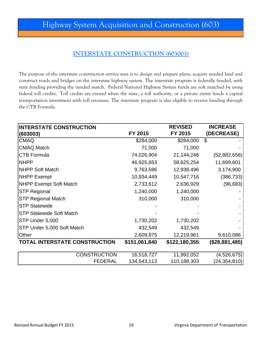#### **INTERSTATE CONSTRUCTION (603003)**

The purpose of the interstate construction service area is to design and prepare plans, acquire needed land and construct roads and bridges on the interstate highway system. The interstate program is federally funded, with state funding providing the needed match. Federal National Highway System funds are soft matched by using federal toll credits. Toll credits are earned when the state, a toll authority, or a private entity funds a capital transportation investment with toll revenues. The interstate program is also eligible to receive funding through the CTB Formula.

| <b>INTERSTATE CONSTRUCTION</b>       |               | <b>REVISED</b> | <b>INCREASE</b> |
|--------------------------------------|---------------|----------------|-----------------|
| (603003)                             | FY 2015       | FY 2015        | (DECREASE)      |
| <b>CMAQ</b>                          | \$284,000     | \$284,000      | \$              |
| <b>CMAQ Match</b>                    | 71,000        | 71,000         |                 |
| <b>CTB Formula</b>                   | 74,026,904    | 21,144,248     | (52,882,656)    |
| <b>NHPP</b>                          | 46,925,653    | 58,625,254     | 11,699,601      |
| <b>NHPP Soft Match</b>               | 9,763,596     | 12,938,496     | 3,174,900       |
| <b>NHPP</b> Exempt                   | 10,934,449    | 10,547,716     | (386, 733)      |
| <b>NHPP Exempt Soft Match</b>        | 2,733,612     | 2,636,929      | (96, 683)       |
| <b>STP Regional</b>                  | 1,240,000     | 1,240,000      |                 |
| <b>STP Regional Match</b>            | 310,000       | 310,000        |                 |
| <b>STP Statewide</b>                 |               |                |                 |
| <b>STP Statewide Soft Match</b>      |               |                |                 |
| STP Under 5,000                      | 1,730,202     | 1,730,202      |                 |
| STP Under 5,000 Soft Match           | 432,549       | 432,549        |                 |
| Other                                | 2,609,875     | 12,219,961     | 9,610,086       |
| <b>TOTAL INTERSTATE CONSTRUCTION</b> | \$151,061,840 | \$122,180,355  | (\$28,881,485)  |
|                                      |               |                |                 |
| <b>CONSTRUCTION</b>                  | 16,518,727    | 11,992,052     | (4,526,675)     |
| <b>FEDERAL</b>                       | 134,543,113   | 110,188,303    | (24, 354, 810)  |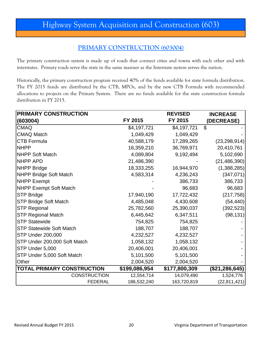## Highway System Acquisition and Construction (603)

#### **PRIMARY CONSTRUCTION (603004)**

The primary construction system is made up of roads that connect cities and towns with each other and with interstates. Primary roads serve the state in the same manner as the Interstate system serves the nation.

Historically, the primary construction program received 40% of the funds available for state formula distribution. The FY 2015 funds are distributed by the CTB, MPOs, and by the new CTB Formula with recommended allocations to projects on the Primary System. There are no funds available for the state construction formula distribution in FY 2015.

| <b>PRIMARY CONSTRUCTION</b>       |               | <b>REVISED</b> | <b>INCREASE</b>  |
|-----------------------------------|---------------|----------------|------------------|
| (603004)                          | FY 2015       | FY 2015        | (DECREASE)       |
| <b>CMAQ</b>                       | \$4,197,721   | \$4,197,721    | $\mathfrak{S}$   |
| <b>CMAQ Match</b>                 | 1,049,429     | 1,049,429      |                  |
| <b>CTB Formula</b>                | 40,588,179    | 17,289,265     | (23, 298, 914)   |
| <b>NHPP</b>                       | 16,359,210    | 36,769,971     | 20,410,761       |
| <b>NHPP Soft Match</b>            | 4,089,804     | 9,192,494      | 5,102,690        |
| <b>NHPP APD</b>                   | 21,486,390    |                | (21, 486, 390)   |
| <b>NHPP Bridge</b>                | 18,333,255    | 16,944,970     | (1,388,285)      |
| <b>NHPP Bridge Soft Match</b>     | 4,583,314     | 4,236,243      | (347,071)        |
| NHPP Exempt                       |               | 386,733        | 386,733          |
| <b>NHPP Exempt Soft Match</b>     |               | 96,683         | 96,683           |
| <b>STP Bridge</b>                 | 17,940,190    | 17,722,432     | (217, 758)       |
| <b>STP Bridge Soft Match</b>      | 4,485,048     | 4,430,608      | (54, 440)        |
| <b>STP Regional</b>               | 25,782,560    | 25,390,037     | (392, 523)       |
| <b>STP Regional Match</b>         | 6,445,642     | 6,347,511      | (98, 131)        |
| <b>STP Statewide</b>              | 754,825       | 754,825        |                  |
| <b>STP Statewide Soft Match</b>   | 188,707       | 188,707        |                  |
| <b>STP Under 200,000</b>          | 4,232,527     | 4,232,527      |                  |
| STP Under 200,000 Soft Match      | 1,058,132     | 1,058,132      |                  |
| STP Under 5,000                   | 20,406,001    | 20,406,001     |                  |
| STP Under 5,000 Soft Match        | 5,101,500     | 5,101,500      |                  |
| Other                             | 2,004,520     | 2,004,520      |                  |
| <b>TOTAL PRIMARY CONSTRUCTION</b> | \$199,086,954 | \$177,800,309  | (\$21, 286, 645) |
| <b>CONSTRUCTION</b>               | 12,554,714    | 14,079,490     | 1,524,776        |
| <b>FEDERAL</b>                    | 186,532,240   | 163,720,819    | (22, 811, 421)   |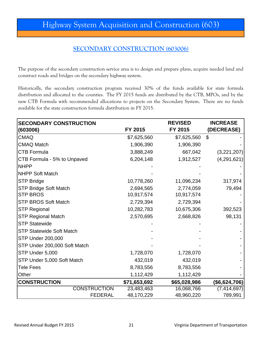#### **SECONDARY CONSTRUCTION (603006)**

The purpose of the secondary construction service area is to design and prepare plans, acquire needed land and construct roads and bridges on the secondary highway system.

Historically, the secondary construction program received 30% of the funds available for state formula distribution and allocated to the counties. The FY 2015 funds are distributed by the CTB, MPOs, and by the new CTB Formula with recommended allocations to projects on the Secondary System. There are no funds available for the state construction formula distribution in FY 2015.

| <b>SECONDARY CONSTRUCTION</b>   |              | <b>REVISED</b> | <b>INCREASE</b> |
|---------------------------------|--------------|----------------|-----------------|
| (603006)                        | FY 2015      | FY 2015        | (DECREASE)      |
| <b>CMAQ</b>                     | \$7,625,560  | \$7,625,560    | $\mathfrak{L}$  |
| <b>CMAQ Match</b>               | 1,906,390    | 1,906,390      |                 |
| <b>CTB Formula</b>              | 3,888,249    | 667,042        | (3,221,207)     |
| CTB Formula - 5% to Unpaved     | 6,204,148    | 1,912,527      | (4,291,621)     |
| <b>NHPP</b>                     |              |                |                 |
| <b>NHPP Soft Match</b>          |              |                |                 |
| <b>STP Bridge</b>               | 10,778,260   | 11,096,234     | 317,974         |
| <b>STP Bridge Soft Match</b>    | 2,694,565    | 2,774,059      | 79,494          |
| <b>STP BROS</b>                 | 10,917,574   | 10,917,574     |                 |
| <b>STP BROS Soft Match</b>      | 2,729,394    | 2,729,394      |                 |
| <b>STP Regional</b>             | 10,282,783   | 10,675,306     | 392,523         |
| <b>STP Regional Match</b>       | 2,570,695    | 2,668,826      | 98,131          |
| <b>STP Statewide</b>            |              |                |                 |
| <b>STP Statewide Soft Match</b> |              |                |                 |
| STP Under 200,000               |              |                |                 |
| STP Under 200,000 Soft Match    |              |                |                 |
| STP Under 5,000                 | 1,728,070    | 1,728,070      |                 |
| STP Under 5,000 Soft Match      | 432,019      | 432,019        |                 |
| <b>Tele Fees</b>                | 8,783,556    | 8,783,556      |                 |
| Other                           | 1,112,429    | 1,112,429      |                 |
| <b>CONSTRUCTION</b>             | \$71,653,692 | \$65,028,986   | ( \$6,624,706)  |
| <b>CONSTRUCTION</b>             | 23,483,463   | 16,068,766     | (7, 414, 697)   |
| <b>FEDERAL</b>                  | 48,170,229   | 48,960,220     | 789,991         |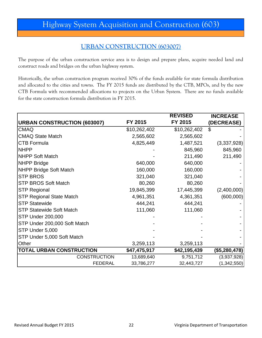## Highway System Acquisition and Construction (603)

#### **URBAN CONSTRUCTION (603007)**

The purpose of the urban construction service area is to design and prepare plans, acquire needed land and construct roads and bridges on the urban highway system.

Historically, the urban construction program received 30% of the funds available for state formula distribution and allocated to the cities and towns. The FY 2015 funds are distributed by the CTB, MPOs, and by the new CTB Formula with recommended allocations to projects on the Urban System. There are no funds available for the state construction formula distribution in FY 2015.

|                                    |              | <b>REVISED</b> | <b>INCREASE</b> |
|------------------------------------|--------------|----------------|-----------------|
| <b>URBAN CONSTRUCTION (603007)</b> | FY 2015      | FY 2015        | (DECREASE)      |
| <b>CMAQ</b>                        | \$10,262,402 | \$10,262,402   | \$              |
| <b>CMAQ State Match</b>            | 2,565,602    | 2,565,602      |                 |
| <b>CTB Formula</b>                 | 4,825,449    | 1,487,521      | (3,337,928)     |
| <b>NHPP</b>                        |              | 845,960        | 845,960         |
| <b>NHPP Soft Match</b>             |              | 211,490        | 211,490         |
| <b>NHPP Bridge</b>                 | 640,000      | 640,000        |                 |
| NHPP Bridge Soft Match             | 160,000      | 160,000        |                 |
| <b>STP BROS</b>                    | 321,040      | 321,040        |                 |
| <b>STP BROS Soft Match</b>         | 80,260       | 80,260         |                 |
| <b>STP Regional</b>                | 19,845,399   | 17,445,399     | (2,400,000)     |
| <b>STP Regional State Match</b>    | 4,961,351    | 4,361,351      | (600,000)       |
| <b>STP Statewide</b>               | 444,241      | 444,241        |                 |
| <b>STP Statewide Soft Match</b>    | 111,060      | 111,060        |                 |
| STP Under 200,000                  |              |                |                 |
| STP Under 200,000 Soft Match       |              |                |                 |
| STP Under 5,000                    |              |                |                 |
| STP Under 5,000 Soft Match         |              |                |                 |
| <b>Other</b>                       | 3,259,113    | 3,259,113      |                 |
| <b>TOTAL URBAN CONSTRUCTION</b>    | \$47,475,917 | \$42,195,439   | (\$5,280,478)   |
| <b>CONSTRUCTION</b>                | 13,689,640   | 9,751,712      | (3,937,928)     |
| <b>FEDERAL</b>                     | 33,786,277   | 32,443,727     | (1,342,550)     |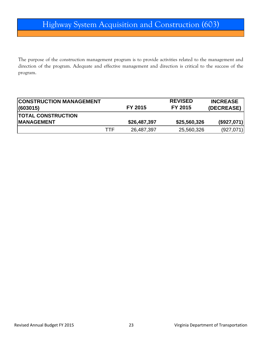The purpose of the construction management program is to provide activities related to the management and direction of the program. Adequate and effective management and direction is critical to the success of the program.

| <b>CONSTRUCTION MANAGEMENT</b><br> (603015) |     | FY 2015      | <b>REVISED</b><br>FY 2015 | <b>INCREASE</b><br>(DECREASE) |
|---------------------------------------------|-----|--------------|---------------------------|-------------------------------|
| <b>TOTAL CONSTRUCTION</b>                   |     |              |                           |                               |
| <b>IMANAGEMENT</b>                          |     | \$26,487,397 | \$25,560,326              | (\$927,071)                   |
|                                             | TTF | 26,487,397   | 25,560,326                | (927, 071)                    |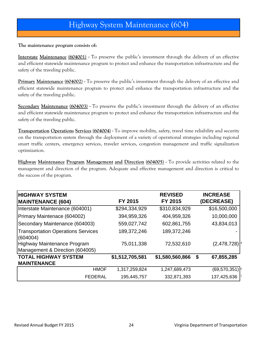#### **The maintenance program consists of:**

**Interstate Maintenance (604001) -** To preserve the public's investment through the delivery of an effective and efficient statewide maintenance program to protect and enhance the transportation infrastructure and the safety of the traveling public.

**Primary Maintenance (604002) -** To preserve the public's investment through the delivery of an effective and efficient statewide maintenance program to protect and enhance the transportation infrastructure and the safety of the traveling public.

**Secondary Maintenance (604003) -** To preserve the public's investment through the delivery of an effective and efficient statewide maintenance program to protect and enhance the transportation infrastructure and the safety of the traveling public.

**Transportation Operations Services (604004) -** To improve mobility, safety, travel time reliability and security on the transportation system through the deployment of a variety of operational strategies including regional smart traffic centers, emergency services, traveler services, congestion management and traffic signalization optimization.

**Highway Maintenance Program Management and Direction (604005) -** To provide activities related to the management and direction of the program. Adequate and effective management and direction is critical to the success of the program.

| <b>HIGHWAY SYSTEM</b>                                          |                 | <b>REVISED</b>  | <b>INCREASE</b>  |
|----------------------------------------------------------------|-----------------|-----------------|------------------|
| <b>MAINTENANCE (604)</b>                                       | FY 2015         | FY 2015         | (DECREASE)       |
| Interstate Maintenance (604001)                                | \$294,334,929   | \$310,834,929   | \$16,500,000     |
| Primary Maintenace (604002)                                    | 394,959,326     | 404,959,326     | 10,000,000       |
| Secondary Maintenance (604003)                                 | 559,027,742     | 602,861,755     | 43,834,013       |
| <b>Transportation Operations Services</b><br>(604004)          | 189,372,246     | 189,372,246     |                  |
| Highway Maintenance Program<br>Management & Direction (604005) | 75,011,338      | 72,532,610      | (2,478,728)      |
| <b>TOTAL HIGHWAY SYSTEM</b>                                    | \$1,512,705,581 | \$1,580,560,866 | 67,855,285<br>\$ |
| <b>MAINTENANCE</b>                                             |                 |                 |                  |
| <b>HMOF</b>                                                    | 1,317,259,824   | 1,247,689,473   | (69, 570, 351)   |
| <b>FEDERAL</b>                                                 | 195,445,757     | 332,871,393     | 137,425,636      |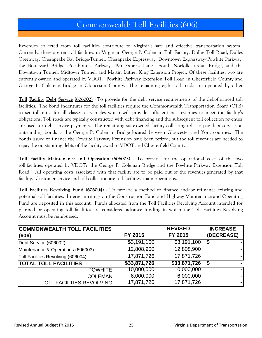### Commonwealth Toll Facilities (606)

Revenues collected from toll facilities contribute to Virginia's safe and effective transportation system. Currently, there are ten toll facilities in Virginia: George P. Coleman Toll Facility, Dulles Toll Road, Dulles Greenway, Chesapeake Bay Bridge-Tunnel, Chesapeake Expressway, Downtown Expressway/Powhite Parkway, the Boulevard Bridge, Pocahontas Parkway, 495 Express Lanes, South Norfolk Jordan Bridge, and the Downtown Tunnel, Midtown Tunnel, and Martin Luther King Extension Project. Of these facilities, two are currently owned and operated by VDOT: Powhite Parkway Extension Toll Road in Chesterfield County and George P. Coleman Bridge in Gloucester County. The remaining eight toll roads are operated by other

**Toll Facility Debt Service (606002) -** To provide for the debt service requirements of the debt-financed toll facilities. The bond indentures for the toll facilities require the Commonwealth Transportation Board (CTB) to set toll rates for all classes of vehicles which will provide sufficient net revenues to meet the facility's obligations. Toll roads are typically constructed with debt financing and the subsequent toll collection revenues are used for debt service payments. The remaining state-owned facility collecting tolls to pay debt service on outstanding bonds is the George P. Coleman Bridge located between Gloucester and York counties. The bonds issued to finance the Powhite Parkway Extension have been retired, but the toll revenues are needed to repay the outstanding debts of the facility owed to VDOT and Chesterfield County.

**Toll Facility Maintenance and Operation (606003) -** To provide for the operational costs of the two toll facilities operated by VDOT: the George P. Coleman Bridge and the Powhite Parkway Extension Toll Road. All operating costs associated with that facility are to be paid out of the revenues generated by that facility. Customer service and toll collection are toll facilities' main operations.

**Toll Facilities Revolving Fund (606004) -** To provide a method to finance and/or refinance existing and potential toll facilities. Interest earnings on the Construction Fund and Highway Maintenance and Operating Fund are deposited in this account. Funds allocated from the Toll Facilities Revolving Account intended for planned or operating toll facilities are considered advance funding in which the Toll Facilities Revolving Account must be reimbursed.

| <b>COMMONWEALTH TOLL FACILITIES</b> |              | <b>REVISED</b> | <b>INCREASE</b> |
|-------------------------------------|--------------|----------------|-----------------|
| (606)                               | FY 2015      | FY 2015        | (DECREASE)      |
| Debt Service (606002)               | \$3,191,100  | \$3,191,100    |                 |
| Maintenance & Operations (606003)   | 12,808,900   | 12,808,900     |                 |
| Toll Facilties Revolving (606004)   | 17,871,726   | 17,871,726     |                 |
| <b>TOTAL TOLL FACILITIES</b>        | \$33,871,726 | \$33,871,726   |                 |
| <b>POWHITE</b>                      | 10,000,000   | 10,000,000     |                 |
| <b>COLEMAN</b>                      | 6,000,000    | 6,000,000      |                 |
| <b>TOLL FACILTIES REVOLVING</b>     | 17,871,726   | 17,871,726     |                 |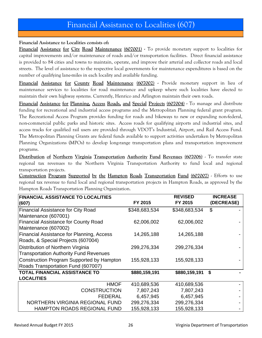### Financial Assistance to Localities (607)

#### **Financial Assistance to Localities consists of:**

**Financial Assistance for City Road Maintenance (607001) -** To provide monetary support to localities for capital improvements and/or maintenance of roads and/or transportation facilities. Direct financial assistance is provided to 84 cities and towns to maintain, operate, and improve their arterial and collector roads and local streets. The level of assistance to the respective local governments for maintenance expenditures is based on the number of qualifying lane-miles in each locality and available funding.

**Financial Assistance for County Road Maintenance (607002) -** Provide monetary support in lieu of maintenance services to localities for road maintenance and upkeep where such localities have elected to maintain their own highway systems. Currently, Henrico and Arlington maintain their own roads.

**Financial Assistance for Planning, Access Roads, and Special Projects (607004) -** To manage and distribute funding for recreational and industrial access programs and the Metropolitan Planning federal grant program. The Recreational Access Program provides funding for roads and bikeways to new or expanding non-federal, non-commercial public parks and historic sites. Access roads for qualifying airports and industrial sites, and access tracks for qualified rail users are provided through VDOT's Industrial, Airport, and Rail Access Fund. The Metropolitan Planning Grants are federal funds available to support activities undertaken by Metropolitan Planning Organizations (MPOs) to develop long-range transportation plans and transportation improvement programs.

**Distribution of Northern Virginia Transportation Authority Fund Revenues (607006)** - To transfer state regional tax revenues to the Northern Virginia Transportation Authority to fund local and regional transportation projects.

**Construction Program Supported by the Hampton Roads Transportation Fund (607007)** - Efforts to use regional tax revenue to fund local and regional transportation projects in Hampton Roads, as approved by the Hampton Roads Transportation Planning Organization.

| <b>FINANCIAL ASSISTANCE TO LOCALITIES</b>     |               | <b>REVISED</b> | <b>INCREASE</b> |
|-----------------------------------------------|---------------|----------------|-----------------|
| (607)                                         | FY 2015       | FY 2015        | (DECREASE)      |
| <b>Financial Assistance for City Road</b>     | \$348,683,534 | \$348,683,534  | \$              |
| Maintenance (607001)                          |               |                |                 |
| <b>Financial Assistance for County Road</b>   | 62,006,002    | 62,006,002     |                 |
| Maintenance (607002)                          |               |                |                 |
| Financial Assistance for Planning, Access     | 14,265,188    | 14,265,188     |                 |
| Roads, & Special Projects (607004)            |               |                |                 |
| Distribution of Northern Virginia             | 299,276,334   | 299,276,334    |                 |
| <b>Transportation Authority Fund Revenues</b> |               |                |                 |
| Construction Program Supported by Hampton     | 155,928,133   | 155,928,133    |                 |
| Roads Transportation Fund (607007)            |               |                |                 |
| <b>TOTAL FINANCIAL ASSISTANCE TO</b>          | \$880,159,191 | \$880,159,191  | \$              |
| <b>LOCALITIES</b>                             |               |                |                 |
| <b>HMOF</b>                                   | 410,689,536   | 410,689,536    |                 |
| <b>CONSTRUCTION</b>                           | 7,807,243     | 7,807,243      |                 |
| <b>FEDERAL</b>                                | 6,457,945     | 6,457,945      |                 |
| NORTHERN VIRGINIA REGIONAL FUND               | 299,276,334   | 299,276,334    |                 |
| <b>HAMPTON ROADS REGIONAL FUND</b>            | 155,928,133   | 155,928,133    |                 |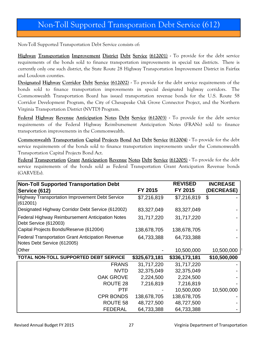## Non-Toll Supported Transporation Debt Service (612)

Non-Toll Supported Transportation Debt Service consists of:

**Highway Transportation Improvement District Debt Service (612001) -** To provide for the debt service requirements of the bonds sold to finance transportation improvements in special tax districts. There is currently only one such district, the State Route 28 Highway Transportation Improvement District in Fairfax and Loudoun counties.

**Designated Highway Corridor Debt Service (612002) -** To provide for the debt service requirements of the bonds sold to finance transportation improvements in special designated highway corridors. The Commonwealth Transportation Board has issued transportation revenue bonds for the U.S. Route 58 Corridor Development Program, the City of Chesapeake Oak Grove Connector Project, and the Northern Virginia Transportation District (NVTD) Program.

**Federal Highway Revenue Anticipation Notes Debt Service (612003) -** To provide for the debt service requirements of the Federal Highway Reimbursement Anticipation Notes (FRANs) sold to finance transportation improvements in the Commonwealth.

**Commonwealth Transportation Capital Projects Bond Act Debt Service (612004) -** To provide for the debt service requirements of the bonds sold to finance transportation improvements under the Commonwealth Transportation Capital Projects Bond Act.

**Federal Transportation Grant Anticipation Revenue Notes Debt Service (612005) -** To provide for the debt service requirements of the bonds sold as Federal Transportation Grant Anticipation Revenue bonds (GARVEEs).

| <b>Non-Toll Supported Transportation Debt</b>                                           |               | <b>REVISED</b> | <b>INCREASE</b> |
|-----------------------------------------------------------------------------------------|---------------|----------------|-----------------|
| Service (612)                                                                           | FY 2015       | FY 2015        | (DECREASE)      |
| <b>Highway Transportation Improvement Debt Service</b><br>(612001)                      | \$7,216,819   | \$7,216,819    | \$              |
| Designated Highway Corridor Debt Service (612002)                                       | 83,327,049    | 83,327,049     |                 |
| <b>Federal Highway Reimbursement Anticipation Notes</b><br>Debt Service (612003)        | 31,717,220    | 31,717,220     |                 |
| Capital Projects Bonds/Reserve (612004)                                                 | 138,678,705   | 138,678,705    |                 |
| <b>Federal Transportation Grant Anticipation Revenue</b><br>Notes Debt Service (612005) | 64,733,388    | 64,733,388     |                 |
| Other                                                                                   |               | 10,500,000     | 10,500,000      |
| TOTAL NON-TOLL SUPPORTED DEBT SERVICE                                                   | \$325,673,181 | \$336,173,181  | \$10,500,000    |
| <b>FRANS</b>                                                                            | 31,717,220    | 31,717,220     |                 |
| <b>NVTD</b>                                                                             | 32,375,049    | 32,375,049     |                 |
| <b>OAK GROVE</b>                                                                        | 2,224,500     | 2,224,500      |                 |
| ROUTE 28                                                                                | 7,216,819     | 7,216,819      |                 |
| <b>PTF</b>                                                                              |               | 10,500,000     | 10,500,000      |
| <b>CPR BONDS</b>                                                                        | 138,678,705   | 138,678,705    |                 |
| ROUTE 58                                                                                | 48,727,500    | 48,727,500     |                 |
| <b>FEDERAL</b>                                                                          | 64,733,388    | 64,733,388     |                 |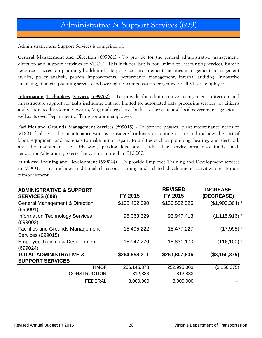Administrative and Support Services is comprised of:

**General Management and Direction (699001)** - To provide for the general administrative management, direction and support activities of VDOT. This includes, but is not limited to, accounting services, human resources, succession planning, health and safety services, procurement, facilities management, management studies, policy analysis, process improvements, performance management, internal auditing, innovative financing, financial planning services and oversight of compensation programs for all VDOT employees.

**Information Technology Services (699002)** - To provide for administrative management, direction and infrastructure support for tasks including, but not limited to, automated data processing services for citizens and visitors to the Commonwealth, Virginia's legislative bodies, other state and local government agencies as well as its own Department of Transportation employees.

**Facilities and Grounds Management Services (699015)** - To provide physical plant maintenance needs to VDOT facilities. This maintenance work is considered ordinary or routine nature and includes the cost of labor, equipment and materials to make minor repairs to utilities such as plumbing, heating, and electrical; and the maintenance of driveways, parking lots, and yards. The service area also funds small renovation/alteration projects that cost no more than \$10,000.

**Employee Training and Development (699024)** - To provide Employee Training and Development services to VDOT. This includes traditional classroom training and related development activities and tuition reimbursement.

| <b>ADMINISTRATIVE &amp; SUPPORT</b><br><b>SERVICES (699)</b>  | FY 2015       | <b>REVISED</b><br>FY 2015 | <b>INCREASE</b><br>(DECREASE) |
|---------------------------------------------------------------|---------------|---------------------------|-------------------------------|
| <b>General Management &amp; Direction</b><br>(699001)         | \$138,452,390 | \$136,552,026             | (\$1,900,364)                 |
| <b>Information Technology Services</b><br>(699002)            | 95,063,329    | 93,947,413                | $(1, 115, 916)$ <sup>4</sup>  |
| <b>Facilities and Grounds Management</b><br>Services (699015) | 15,495,222    | 15,477,227                | (17,995)                      |
| <b>Employee Training &amp; Development</b><br>(699024)        | 15,947,270    | 15,831,170                | (116, 100)                    |
| <b>TOTAL ADMINISTRATIVE &amp;</b>                             | \$264,958,211 | \$261,807,836             | (\$3,150,375)                 |
| <b>SUPPORT SERVICES</b>                                       |               |                           |                               |
| <b>HMOF</b>                                                   | 256, 145, 378 | 252,995,003               | (3, 150, 375)                 |
| <b>CONSTRUCTION</b>                                           | 812,833       | 812,833                   |                               |
| <b>FEDERAL</b>                                                | 8,000,000     | 8,000,000                 |                               |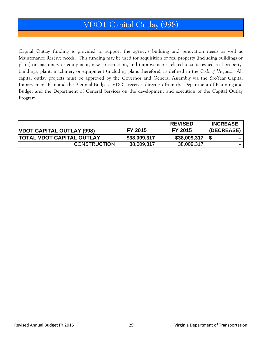## VDOT Capital Outlay (998)

Capital Outlay funding is provided to support the agency's building and renovation needs as well as Maintenance Reserve needs. This funding may be used for acquisition of real property (including buildings or plant) or machinery or equipment, new construction, and improvements related to state-owned real property, buildings, plant, machinery or equipment (including plans therefore), as defined in the *Code of Virginia.* All capital outlay projects must be approved by the Governor and General Assembly via the Six-Year Capital Improvement Plan and the Biennial Budget. VDOT receives direction from the Department of Planning and Budget and the Department of General Services on the development and execution of the Capital Outlay Program.

| VDOT CAPITAL OUTLAY (998)        | FY 2015      | <b>REVISED</b><br><b>FY 2015</b> | <b>INCREASE</b><br>(DECREASE) |
|----------------------------------|--------------|----------------------------------|-------------------------------|
| <b>TOTAL VDOT CAPITAL OUTLAY</b> | \$38,009,317 | \$38,009,317                     | - 1                           |
| <b>CONSTRUCTION</b>              | 38,009,317   | 38,009,317                       |                               |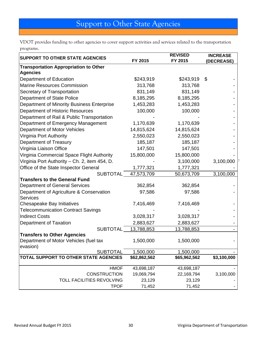## Support to Other State Agencies

VDOT provides funding to other agencies to cover support activities and services related to the transportation programs.

| <b>SUPPORT TO OTHER STATE AGENCIES</b>                   |              | <b>REVISED</b> | <b>INCREASE</b> |  |
|----------------------------------------------------------|--------------|----------------|-----------------|--|
|                                                          | FY 2015      | FY 2015        | (DECREASE)      |  |
| <b>Transportation Appropriation to Other</b>             |              |                |                 |  |
| <b>Agencies</b>                                          |              |                |                 |  |
| Department of Education                                  | \$243,919    | \$243,919      | \$              |  |
| <b>Marine Resources Commission</b>                       | 313,768      | 313,768        |                 |  |
| Secretary of Transportation                              | 831,149      | 831,149        |                 |  |
| <b>Department of State Police</b>                        | 8,185,295    | 8,185,295      |                 |  |
| Department of Minority Business Enterprise               | 1,453,283    | 1,453,283      |                 |  |
| Department of Historic Resources                         | 100,000      | 100,000        |                 |  |
| Department of Rail & Public Transportation               |              |                |                 |  |
| Department of Emergency Management                       | 1,170,639    | 1,170,639      |                 |  |
| Department of Motor Vehicles                             | 14,815,624   | 14,815,624     |                 |  |
| Virginia Port Authority                                  | 2,550,023    | 2,550,023      |                 |  |
| Department of Treasury                                   | 185,187      | 185,187        |                 |  |
| Virginia Liaison Office                                  | 147,501      | 147,501        |                 |  |
| Virginia Commercial Space Flight Authority               | 15,800,000   | 15,800,000     |                 |  |
| Virginia Port Authority - Ch. 2, item 454, D.            |              | 3,100,000      | 3,100,000       |  |
| Office of the State Inspector General                    | 1,777,321    | 1,777,321      |                 |  |
| <b>SUBTOTAL</b>                                          | 47,573,709   | 50,673,709     | 3,100,000       |  |
| <b>Transfers to the General Fund</b>                     |              |                |                 |  |
| <b>Department of General Services</b>                    | 362,854      | 362,854        |                 |  |
| Department of Agriculture & Conservation                 | 97,586       | 97,586         |                 |  |
| <b>Services</b>                                          |              |                |                 |  |
| Chesapeake Bay Initiatives                               | 7,416,469    | 7,416,469      |                 |  |
| <b>Telecommunication Contract Savings</b>                |              |                |                 |  |
| <b>Indirect Costs</b>                                    | 3,028,317    | 3,028,317      |                 |  |
| Department of Taxation                                   | 2,883,627    | 2,883,627      |                 |  |
| <b>SUBTOTAL</b>                                          | 13,788,853   | 13,788,853     |                 |  |
| <b>Transfers to Other Agencies</b>                       |              |                |                 |  |
| Department of Motor Vehicles (fuel tax                   | 1,500,000    | 1,500,000      |                 |  |
| evasion)                                                 |              |                |                 |  |
| <b>SUBTOTAL</b><br>TOTAL SUPPORT TO OTHER STATE AGENCIES | 1,500,000    | 1,500,000      | \$3,100,000     |  |
|                                                          | \$62,862,562 | \$65,962,562   |                 |  |
| <b>HMOF</b>                                              | 43,698,187   | 43,698,187     |                 |  |
| <b>CONSTRUCTION</b>                                      | 19,069,794   | 22,169,794     | 3,100,000       |  |
| <b>TOLL FACILITIES REVOLVING</b>                         | 23,129       | 23,129         |                 |  |
| <b>TPOF</b>                                              | 71,452       | 71,452         |                 |  |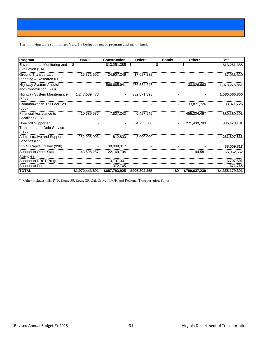The following table summarizes VDOT's budget by major program and major fund.

| Program                                                           | <b>HMOF</b>     | <b>Construction</b> | Federal       | <b>Bonds</b> |     | Other*        | <b>Total</b>    |
|-------------------------------------------------------------------|-----------------|---------------------|---------------|--------------|-----|---------------|-----------------|
| <b>Environmental Monitoring and</b><br>Evaluation (514)           | \$              | \$13,251,385        | \$            | \$           |     | \$            | \$13,251,385    |
| <b>Ground Transportation</b><br>Planning & Research (602)         | 15.371.692      | 34.907.346          | 17.657.282    |              |     |               | 67,936,320      |
| <b>Highway System Acquisition</b><br>and Construction (603)       |                 | 566.665.941         | 476.584.247   |              |     | 30.026.663    | 1.073.276.851   |
| <b>Highway System Maintenance</b><br>(604)                        | 1,247,689,473   | $\sim$              | 332.871.393   |              |     |               | 1,580,560,866   |
| <b>Commonwealth Toll Facilities</b><br>(606)                      |                 |                     |               |              |     | 33.871.726    | 33.871.726      |
| Financial Assistance to<br>Localities (607)                       | 410.689.536     | 7.807.243           | 6.457.945     |              |     | 455.204.467   | 880.159.191     |
| Non-Toll Supported<br><b>Transportation Debt Service</b><br>(612) |                 |                     | 64.733.388    |              |     | 271,439,793   | 336,173,181     |
| Administrative and Support<br>Services (699)                      | 252.995.003     | 812.833             | 8.000.000     |              |     |               | 261,807,836     |
| VDOT Capital Outlay (998)                                         |                 | 38,009,317          |               |              |     |               | 38,009,317      |
| Support to Other State<br>Agencies                                | 43.698.187      | 22,169,794          |               |              |     | 94.581        | 65,962,562      |
| Support to DRPT Programs                                          |                 |                     |               |              |     |               | 3,797,301       |
| Support to Ports                                                  |                 | 372.765             |               |              |     |               | 372,765         |
| <b>TOTAL</b>                                                      | \$1.970.443.891 | \$687,793,925       | \$906.304.255 |              | \$0 | \$790,637,230 | \$4,355,179,301 |

\* - Other includes tolls, PTF, Route 58, Route 28, Oak Grove, TPOF, and Regional Transportation Funds.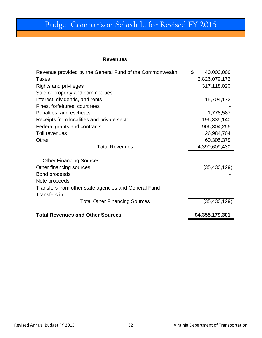## Budget Comparison Schedule for Revised FY 2015

#### **Revenues**

| Revenue provided by the General Fund of the Commonwealth | \$          | 40,000,000      |
|----------------------------------------------------------|-------------|-----------------|
| Taxes                                                    |             | 2,826,079,172   |
| Rights and privileges                                    | 317,118,020 |                 |
| Sale of property and commodities                         |             |                 |
| Interest, dividends, and rents                           |             | 15,704,173      |
| Fines, forfeitures, court fees                           |             |                 |
| Penalties, and escheats                                  |             | 1,778,587       |
| Receipts from localities and private sector              |             | 196,335,140     |
| Federal grants and contracts                             |             | 906,304,255     |
| Toll revenues                                            |             | 26,984,704      |
| Other                                                    |             | 60,305,379      |
| <b>Total Revenues</b>                                    |             | 4,390,609,430   |
| <b>Other Financing Sources</b>                           |             |                 |
| Other financing sources                                  |             | (35, 430, 129)  |
| Bond proceeds                                            |             |                 |
| Note proceeds                                            |             |                 |
| Transfers from other state agencies and General Fund     |             |                 |
| <b>Transfers in</b>                                      |             |                 |
| <b>Total Other Financing Sources</b>                     |             | (35,430,129)    |
| <b>Total Revenues and Other Sources</b>                  |             | \$4,355,179,301 |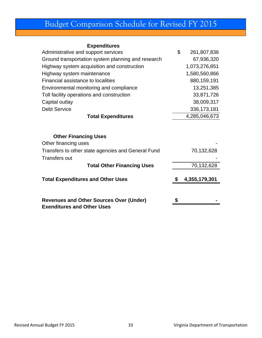# Budget Comparison Schedule for Revised FY 2015

#### **Expenditures**

| Administrative and support services                                                 | \$<br>261,807,836 |
|-------------------------------------------------------------------------------------|-------------------|
| Ground transportation system planning and research                                  | 67,936,320        |
| Highway system acquisition and construction                                         | 1,073,276,851     |
| Highway system maintenance                                                          | 1,580,560,866     |
| Financial assistance to localities                                                  | 880,159,191       |
| Environmental monitoring and compliance                                             | 13,251,385        |
| Toll facility operations and construction                                           | 33,871,726        |
| Capital outlay                                                                      | 38,009,317        |
| <b>Debt Service</b>                                                                 | 336, 173, 181     |
| <b>Total Expenditures</b>                                                           | 4,285,046,673     |
| <b>Other Financing Uses</b><br>Other financing uses                                 |                   |
| Transfers to other state agencies and General Fund                                  | 70,132,628        |
| <b>Transfers out</b>                                                                |                   |
| <b>Total Other Financing Uses</b>                                                   | 70,132,628        |
| <b>Total Expenditures and Other Uses</b>                                            | 4,355,179,301     |
|                                                                                     |                   |
| <b>Revenues and Other Sources Over (Under)</b><br><b>Exenditures and Other Uses</b> | \$                |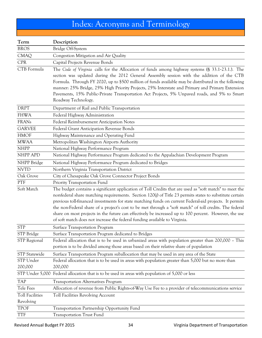# Index: Acronyms and Terminology

| Term                                | Description                                                                                                                                                                                                                                                                                                                                                                                                                                                                                                                                                                                                                     |
|-------------------------------------|---------------------------------------------------------------------------------------------------------------------------------------------------------------------------------------------------------------------------------------------------------------------------------------------------------------------------------------------------------------------------------------------------------------------------------------------------------------------------------------------------------------------------------------------------------------------------------------------------------------------------------|
| <b>BROS</b>                         | Bridge Off-System                                                                                                                                                                                                                                                                                                                                                                                                                                                                                                                                                                                                               |
| <b>CMAQ</b>                         | Congestion Mitigation and Air Quality                                                                                                                                                                                                                                                                                                                                                                                                                                                                                                                                                                                           |
| <b>CPR</b>                          | Capital Projects Revenue Bonds                                                                                                                                                                                                                                                                                                                                                                                                                                                                                                                                                                                                  |
| CTB Formula                         | The Code of Virginia calls for the Allocation of funds among highway systems (§ 33.1-23.1.). The<br>section was updated during the 2012 General Assembly session with the addition of the CTB<br>Formula. Through FY 2020, up to \$500 million of funds available may be distributed in the following<br>manner: 25% Bridge, 25% High Priority Projects, 25% Interstate and Primary and Primary Extension<br>Pavements, 15% Public-Private Transportation Act Projects, 5% Unpaved roads, and 5% to Smart<br>Roadway Technology.                                                                                                |
| <b>DRPT</b>                         | Department of Rail and Public Transportation                                                                                                                                                                                                                                                                                                                                                                                                                                                                                                                                                                                    |
| <b>FHWA</b>                         | Federal Highway Administration                                                                                                                                                                                                                                                                                                                                                                                                                                                                                                                                                                                                  |
| <b>FRANs</b>                        | Federal Reimbursement Anticipation Notes                                                                                                                                                                                                                                                                                                                                                                                                                                                                                                                                                                                        |
| <b>GARVEE</b>                       | Federal Grant Anticipation Revenue Bonds                                                                                                                                                                                                                                                                                                                                                                                                                                                                                                                                                                                        |
| <b>HMOF</b>                         | Highway Maintenance and Operating Fund                                                                                                                                                                                                                                                                                                                                                                                                                                                                                                                                                                                          |
| <b>MWAA</b>                         | Metropolitan Washington Airports Authority                                                                                                                                                                                                                                                                                                                                                                                                                                                                                                                                                                                      |
| <b>NHPP</b>                         | National Highway Performance Program                                                                                                                                                                                                                                                                                                                                                                                                                                                                                                                                                                                            |
| NHPP APD                            | National Highway Performance Program dedicated to the Appalachian Development Program                                                                                                                                                                                                                                                                                                                                                                                                                                                                                                                                           |
| NHPP Bridge                         | National Highway Performance Program dedicated to Bridges                                                                                                                                                                                                                                                                                                                                                                                                                                                                                                                                                                       |
| <b>NVTD</b>                         | Northern Virginia Transportation District                                                                                                                                                                                                                                                                                                                                                                                                                                                                                                                                                                                       |
| Oak Grove                           | City of Chesapeake Oak Grove Connector Project Bonds                                                                                                                                                                                                                                                                                                                                                                                                                                                                                                                                                                            |
| PTF                                 | Priority Transportation Fund                                                                                                                                                                                                                                                                                                                                                                                                                                                                                                                                                                                                    |
| Soft Match                          | The budget contains a significant application of Toll Credits that are used as "soft match" to meet the<br>nonfederal share matching requirements. Section 120(j) of Title 23 permits states to substitute certain<br>previous toll-financed investments for state matching funds on current Federal-aid projects. It permits<br>the non-Federal share of a project's cost to be met through a "soft match" of toll credits. The federal<br>share on most projects in the future can effectively be increased up to 100 percent. However, the use<br>of soft match does not increase the federal funding available to Virginia. |
| <b>STP</b>                          | Surface Transportation Program                                                                                                                                                                                                                                                                                                                                                                                                                                                                                                                                                                                                  |
| STP Bridge                          | Surface Transportation Program dedicated to Bridges                                                                                                                                                                                                                                                                                                                                                                                                                                                                                                                                                                             |
| <b>STP</b> Regional                 | Federal allocation that is to be used in urbanized areas with population greater than 200,000 - This<br>portion is to be divided among those areas based on their relative share of population                                                                                                                                                                                                                                                                                                                                                                                                                                  |
| <b>STP</b> Statewide                | Surface Transportation Program suballocation that may be used in any area of the State                                                                                                                                                                                                                                                                                                                                                                                                                                                                                                                                          |
| STP Under<br>200,000                | Federal allocation that is to be used in areas with population greater than 5,000 but no more than<br>200,000                                                                                                                                                                                                                                                                                                                                                                                                                                                                                                                   |
| STP Under 5,000                     | Federal allocation that is to be used in areas with population of 5,000 or less                                                                                                                                                                                                                                                                                                                                                                                                                                                                                                                                                 |
| <b>TAP</b>                          | <b>Transportation Alternatives Program</b>                                                                                                                                                                                                                                                                                                                                                                                                                                                                                                                                                                                      |
| Tele Fees                           | Allocation of revenue from Public Rights-of-Way Use Fee to a provider of telecommunications service                                                                                                                                                                                                                                                                                                                                                                                                                                                                                                                             |
| <b>Toll Facilities</b><br>Revolving | Toll Facilities Revolving Account                                                                                                                                                                                                                                                                                                                                                                                                                                                                                                                                                                                               |
| <b>TPOF</b>                         | Transportation Partnership Opportunity Fund                                                                                                                                                                                                                                                                                                                                                                                                                                                                                                                                                                                     |
| <b>TTF</b>                          | <b>Transportation Trust Fund</b>                                                                                                                                                                                                                                                                                                                                                                                                                                                                                                                                                                                                |